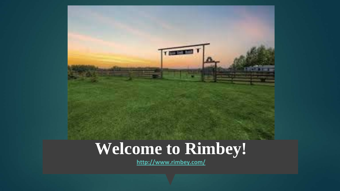

### **Welcome to Rimbey!**

**<http://www.rimbey.com/>**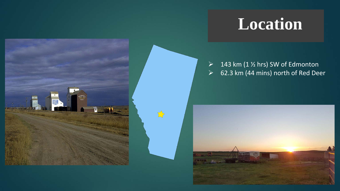## **Location**

#### $\triangleright$  143 km (1 % hrs) SW of Edmonton  $\geq$  62.3 km (44 mins) north of Red Deer



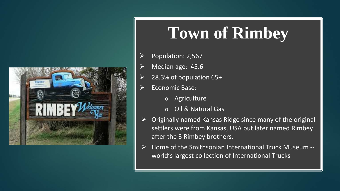

## **Town of Rimbey**

- $\triangleright$  Population: 2,567
- $\triangleright$  Median age: 45.6
- $\geq$  28.3% of population 65+
- $\triangleright$  Economic Base:
	- o Agriculture
	- o Oil & Natural Gas
- $\triangleright$  Originally named Kansas Ridge since many of the original settlers were from Kansas, USA but later named Rimbey after the 3 Rimbey brothers.
- $\triangleright$  Home of the Smithsonian International Truck Museum -world's largest collection of International Trucks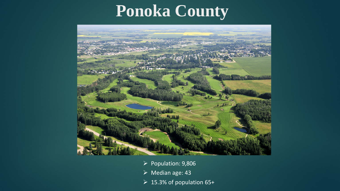#### **Ponoka County**



- $\triangleright$  Population: 9,806
- $\triangleright$  Median age: 43
- $\triangleright$  15.3% of population 65+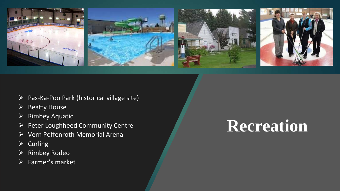

- > Pas-Ka-Poo Park (historical village site)
- $\triangleright$  Beatty House
- $\triangleright$  Rimbey Aquatic
- $\triangleright$  Peter Loughheed Community Centre
- Vern Poffenroth Memorial Arena
- $\triangleright$  Curling
- $\triangleright$  Rimbey Rodeo
- $\triangleright$  Farmer's market

## **Recreation**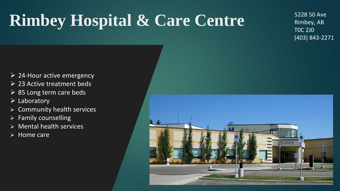## **Rimbey Hospital & Care Centre**

5228 50 Ave Rimbey, AB T0C 2J0 (403) 843-2271

- $\geq$  24-Hour active emergency
- 23 Active treatment beds
- $\geq$  85 Long term care beds
- $\triangleright$  Laboratory
- $\triangleright$  Community health services
- $\triangleright$  Family counselling
- $\triangleright$  Mental health services
- $\triangleright$  Home care